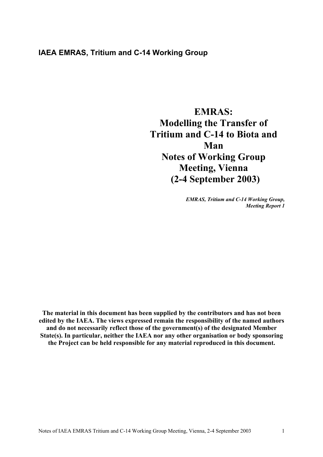# **IAEA EMRAS, Tritium and C-14 Working Group**

**EMRAS: Modelling the Transfer of Tritium and C-14 to Biota and Man Notes of Working Group Meeting, Vienna (2-4 September 2003)** 

> *EMRAS, Tritium and C-14 Working Group, Meeting Report 1*

**The material in this document has been supplied by the contributors and has not been edited by the IAEA. The views expressed remain the responsibility of the named authors and do not necessarily reflect those of the government(s) of the designated Member State(s). In particular, neither the IAEA nor any other organisation or body sponsoring the Project can be held responsible for any material reproduced in this document.**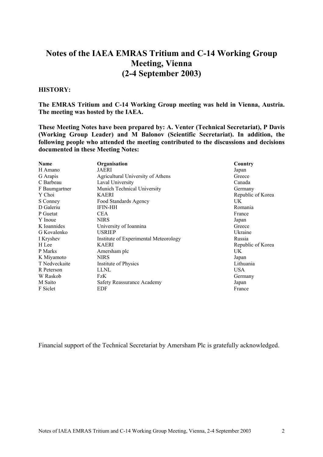# **Notes of the IAEA EMRAS Tritium and C-14 Working Group Meeting, Vienna (2-4 September 2003)**

#### **HISTORY:**

**The EMRAS Tritium and C-14 Working Group meeting was held in Vienna, Austria. The meeting was hosted by the IAEA.** 

**These Meeting Notes have been prepared by: A. Venter (Technical Secretariat), P Davis (Working Group Leader) and M Balonov (Scientific Secretariat). In addition, the following people who attended the meeting contributed to the discussions and decisions documented in these Meeting Notes:**

| <b>Name</b>   | Organisation                          | Country           |
|---------------|---------------------------------------|-------------------|
| H Amano       | JAERI                                 | Japan             |
| G Arapis      | Agricultural University of Athens     | Greece            |
| C Barbeau     | Laval University                      | Canada            |
| F Baumgartner | Munich Technical University           | Germany           |
| Y Choi        | <b>KAERI</b>                          | Republic of Korea |
| S Conney      | Food Standards Agency                 | UK.               |
| D Galeriu     | <b>IFIN-HH</b>                        | Romania           |
| P Guetat      | <b>CEA</b>                            | France            |
| Y Inoue       | <b>NIRS</b>                           | Japan             |
| K Ioannides   | University of Ioannina                | Greece            |
| G Kovalenko   | <b>USRIEP</b>                         | Ukraine           |
| I Kryshev     | Institute of Experimental Meteorology | Russia            |
| H Lee         | <b>KAERI</b>                          | Republic of Korea |
| P Marks       | Amersham plc                          | UK.               |
| K Miyamoto    | <b>NIRS</b>                           | Japan             |
| T Nedveckaite | Institute of Physics                  | Lithuania         |
| R Peterson    | <b>LLNL</b>                           | <b>USA</b>        |
| W Raskob      | FzK                                   | Germany           |
| M Saito       | Safety Reassurance Academy            | Japan             |
| F Siclet      | EDF                                   | France            |

Financial support of the Technical Secretariat by Amersham Plc is gratefully acknowledged.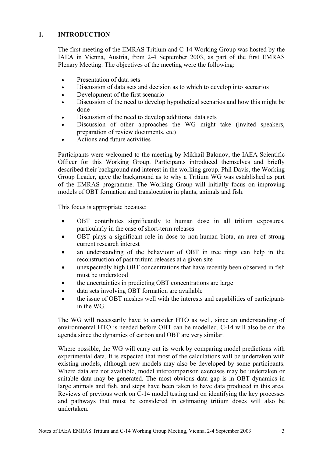# **1. INTRODUCTION**

The first meeting of the EMRAS Tritium and C-14 Working Group was hosted by the IAEA in Vienna, Austria, from 2-4 September 2003, as part of the first EMRAS Plenary Meeting. The objectives of the meeting were the following:

- Presentation of data sets
- Discussion of data sets and decision as to which to develop into scenarios
- Development of the first scenario
- Discussion of the need to develop hypothetical scenarios and how this might be done
- Discussion of the need to develop additional data sets
- Discussion of other approaches the WG might take (invited speakers, preparation of review documents, etc)
- Actions and future activities

Participants were welcomed to the meeting by Mikhail Balonov, the IAEA Scientific Officer for this Working Group. Participants introduced themselves and briefly described their background and interest in the working group. Phil Davis, the Working Group Leader, gave the background as to why a Tritium WG was established as part of the EMRAS programme. The Working Group will initially focus on improving models of OBT formation and translocation in plants, animals and fish.

This focus is appropriate because:

- OBT contributes significantly to human dose in all tritium exposures, particularly in the case of short-term releases
- OBT plays a significant role in dose to non-human biota, an area of strong current research interest
- an understanding of the behaviour of OBT in tree rings can help in the reconstruction of past tritium releases at a given site
- unexpectedly high OBT concentrations that have recently been observed in fish must be understood
- the uncertainties in predicting OBT concentrations are large
- data sets involving OBT formation are available
- the issue of OBT meshes well with the interests and capabilities of participants in the WG.

The WG will necessarily have to consider HTO as well, since an understanding of environmental HTO is needed before OBT can be modelled. C-14 will also be on the agenda since the dynamics of carbon and OBT are very similar.

Where possible, the WG will carry out its work by comparing model predictions with experimental data. It is expected that most of the calculations will be undertaken with existing models, although new models may also be developed by some participants. Where data are not available, model intercomparison exercises may be undertaken or suitable data may be generated. The most obvious data gap is in OBT dynamics in large animals and fish, and steps have been taken to have data produced in this area. Reviews of previous work on C-14 model testing and on identifying the key processes and pathways that must be considered in estimating tritium doses will also be undertaken.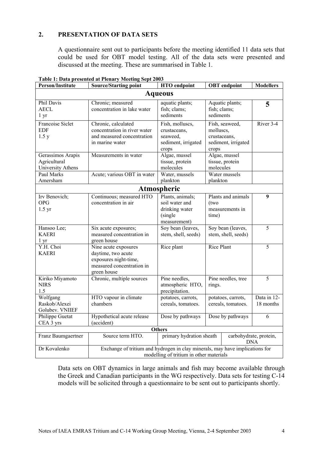# **2. PRESENTATION OF DATA SETS**

A questionnaire sent out to participants before the meeting identified 11 data sets that could be used for OBT model testing. All of the data sets were presented and discussed at the meeting. These are summarised in Table 1.

| <b>Person/Institute</b>                                | <b>Source/Starting point</b>                                                                                            | <b>HTO</b> endpoint                                                             |                                          | <b>OBT</b> endpoint                                   | <b>Modellers</b>         |  |  |
|--------------------------------------------------------|-------------------------------------------------------------------------------------------------------------------------|---------------------------------------------------------------------------------|------------------------------------------|-------------------------------------------------------|--------------------------|--|--|
|                                                        |                                                                                                                         | <b>Aqueous</b>                                                                  |                                          |                                                       |                          |  |  |
| Phil Davis<br><b>AECL</b><br>$1 \, yr$                 | Chronic; measured<br>concentration in lake water                                                                        | aquatic plants;<br>fish; clams;<br>sediments                                    | fish; clams;<br>sediments                | Aquatic plants;                                       | 5                        |  |  |
| Francoise Siclet<br><b>EDF</b><br>1.5 y                | Chronic, calculated<br>concentration in river water<br>and measured concentration<br>in marine water                    | Fish, molluscs,<br>crustaceans,<br>seaweed,<br>sediment, irrigated<br>crops     | molluses,<br>crops                       | Fish, seaweed,<br>crustaceans,<br>sediment, irrigated | River 3-4                |  |  |
| Gerassimos Arapis<br>Agricultural<br>University Athens | Measurements in water                                                                                                   | Algae, mussel<br>tissue, protein<br>molecules                                   | molecules                                | Algae, mussel<br>tissue, protein                      |                          |  |  |
| Paul Marks<br>Amersham                                 | Acute; various OBT in water                                                                                             | Water, mussels<br>plankton                                                      | plankton                                 | Water mussels                                         |                          |  |  |
|                                                        |                                                                                                                         | Atmospheric                                                                     |                                          |                                                       |                          |  |  |
| Irv Benovich;<br><b>OPG</b><br>$1.5 \text{ yr}$        | Continuous; measured HTO<br>concentration in air                                                                        | Plants, animals;<br>soil water and<br>drinking water<br>(single<br>measurement) | (two<br>time)                            | Plants and animals<br>measurements in                 | 9                        |  |  |
| Hansoo Lee;<br><b>KAERI</b><br>l yr                    | Six acute exposures;<br>measured concentration in<br>green house                                                        | Soy bean (leaves,<br>stem, shell, seeds)                                        |                                          | Soy bean (leaves,<br>stem, shell, seeds)              | 5                        |  |  |
| Y.H. Choi<br><b>KAERI</b>                              | Nine acute exposures<br>daytime, two acute<br>exposures night-time,<br>measured concentration in<br>green house         | Rice plant                                                                      | <b>Rice Plant</b>                        |                                                       | 5                        |  |  |
| Kiriko Miyamoto<br><b>NIRS</b><br>1.5                  | Chronic, multiple sources                                                                                               | Pine needles,<br>atmospheric HTO,<br>precipitation.                             | Pine needles, tree<br>rings.             |                                                       | 5                        |  |  |
| Wolfgang<br>Raskob/Alexei<br>Golubev. VNIIEF           | HTO vapour in climate<br>chambers                                                                                       | potatoes, carrots,<br>cereals, tomatoes.                                        | potatoes, carrots,<br>cereals, tomatoes. |                                                       | Data in 12-<br>18 months |  |  |
| Philippe Guetat<br>CEA 3 yrs                           | Hypothetical acute release<br>(accident)                                                                                | Dose by pathways                                                                | Dose by pathways                         |                                                       | 6                        |  |  |
| <b>Others</b>                                          |                                                                                                                         |                                                                                 |                                          |                                                       |                          |  |  |
| Franz Baumgaertner                                     | Source term HTO.                                                                                                        | primary hydration sheath<br>carbohydrate, protein,<br><b>DNA</b>                |                                          |                                                       |                          |  |  |
| Dr Kovalenko                                           | Exchange of tritium and hydrogen in clay minerals, may have implications for<br>modelling of tritium in other materials |                                                                                 |                                          |                                                       |                          |  |  |

**Table 1: Data presented at Plenary Meeting Sept 2003**

Data sets on OBT dynamics in large animals and fish may become available through the Greek and Canadian participants in the WG respectively. Data sets for testing C-14 models will be solicited through a questionnaire to be sent out to participants shortly.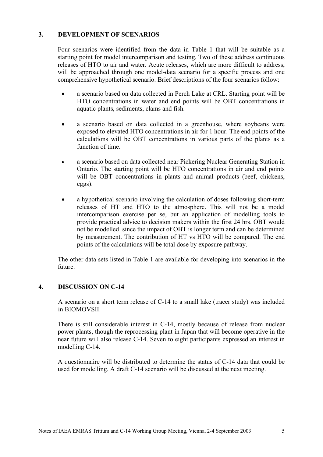# **3. DEVELOPMENT OF SCENARIOS**

Four scenarios were identified from the data in Table 1 that will be suitable as a starting point for model intercomparison and testing. Two of these address continuous releases of HTO to air and water. Acute releases, which are more difficult to address, will be approached through one model-data scenario for a specific process and one comprehensive hypothetical scenario. Brief descriptions of the four scenarios follow:

- a scenario based on data collected in Perch Lake at CRL. Starting point will be HTO concentrations in water and end points will be OBT concentrations in aquatic plants, sediments, clams and fish.
- a scenario based on data collected in a greenhouse, where soybeans were exposed to elevated HTO concentrations in air for 1 hour. The end points of the calculations will be OBT concentrations in various parts of the plants as a function of time.
- a scenario based on data collected near Pickering Nuclear Generating Station in Ontario. The starting point will be HTO concentrations in air and end points will be OBT concentrations in plants and animal products (beef, chickens, eggs).
- a hypothetical scenario involving the calculation of doses following short-term releases of HT and HTO to the atmosphere. This will not be a model intercomparison exercise per se, but an application of modelling tools to provide practical advice to decision makers within the first 24 hrs. OBT would not be modelled since the impact of OBT is longer term and can be determined by measurement. The contribution of HT vs HTO will be compared. The end points of the calculations will be total dose by exposure pathway.

The other data sets listed in Table 1 are available for developing into scenarios in the future.

#### **4. DISCUSSION ON C-14**

A scenario on a short term release of C-14 to a small lake (tracer study) was included in BIOMOVSII.

There is still considerable interest in C-14, mostly because of release from nuclear power plants, though the reprocessing plant in Japan that will become operative in the near future will also release C-14. Seven to eight participants expressed an interest in modelling C-14.

A questionnaire will be distributed to determine the status of C-14 data that could be used for modelling. A draft C-14 scenario will be discussed at the next meeting.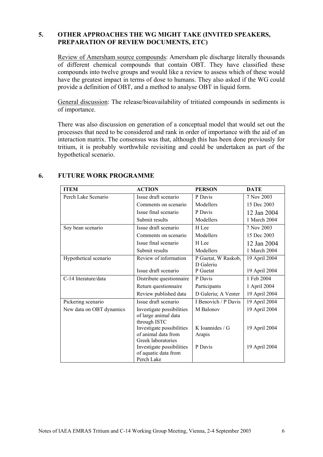# **5. OTHER APPROACHES THE WG MIGHT TAKE (INVITED SPEAKERS, PREPARATION OF REVIEW DOCUMENTS, ETC)**

Review of Amersham source compounds: Amersham plc discharge literally thousands of different chemical compounds that contain OBT. They have classified these compounds into twelve groups and would like a review to assess which of these would have the greatest impact in terms of dose to humans. They also asked if the WG could provide a definition of OBT, and a method to analyse OBT in liquid form.

General discussion: The release/bioavailability of tritiated compounds in sediments is of importance.

There was also discussion on generation of a conceptual model that would set out the processes that need to be considered and rank in order of importance with the aid of an interaction matrix. The consensus was that, although this has been done previously for tritium, it is probably worthwhile revisiting and could be undertaken as part of the hypothetical scenario.

| <b>ITEM</b>              | <b>ACTION</b>             | <b>PERSON</b>        | <b>DATE</b>   |
|--------------------------|---------------------------|----------------------|---------------|
| Perch Lake Scenario      | Issue draft scenario      | P Davis              | 7 Nov 2003    |
|                          | Comments on scenario      | Modellers            | 15 Dec 2003   |
|                          | Issue final scenario      | P Davis              | 12 Jan 2004   |
|                          | Submit results            | Modellers            | 1 March 2004  |
| Soy bean scenario        | Issue draft scenario      | H Lee                | 7 Nov 2003    |
|                          | Comments on scenario      | Modellers            | 15 Dec 2003   |
|                          | Issue final scenario      | H Lee                | 12 Jan 2004   |
|                          | Submit results            | Modellers            | 1 March 2004  |
| Hypothetical scenario    | Review of information     | P Guetat, W Raskob,  | 19 April 2004 |
|                          |                           | D Galeriu            |               |
|                          | Issue draft scenario      | P Guetat             | 19 April 2004 |
| C-14 literature/data     | Distribute questionnaire  | P Davis              | 1 Feb 2004    |
|                          | Return questionnaire      | Participants         | 1 April 2004  |
|                          | Review published data     | D Galeriu; A Venter  | 19 April 2004 |
| Pickering scenario       | Issue draft scenario      | I Benovich / P Davis | 19 April 2004 |
| New data on OBT dynamics | Investigate possibilities | M Balonov            | 19 April 2004 |
|                          | of large animal data      |                      |               |
|                          | through ISTC              |                      |               |
|                          | Investigate possibilities | K Ioannides / $G$    | 19 April 2004 |
|                          | of animal data from       | Arapis               |               |
|                          | Greek laboratories        |                      |               |
|                          | Investigate possibilities | P Davis              | 19 April 2004 |
|                          | of aquatic data from      |                      |               |
|                          | Perch Lake                |                      |               |

# **6. FUTURE WORK PROGRAMME**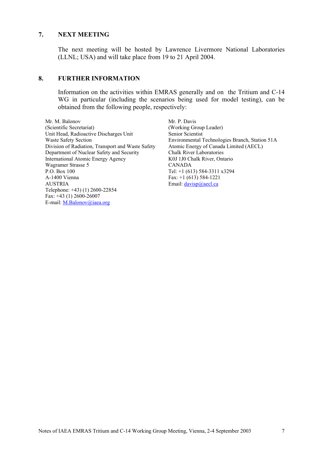#### **7. NEXT MEETING**

The next meeting will be hosted by Lawrence Livermore National Laboratories (LLNL; USA) and will take place from 19 to 21 April 2004.

#### **8. FURTHER INFORMATION**

Information on the activities within EMRAS generally and on the Tritium and C-14 WG in particular (including the scenarios being used for model testing), can be obtained from the following people, respectively:

Mr. M. Balonov (Scientific Secretariat) Unit Head, Radioactive Discharges Unit Waste Safety Section Division of Radiation, Transport and Waste Safety Department of Nuclear Safety and Security International Atomic Energy Agency Wagramer Strasse 5 P.O. Box 100 A-1400 Vienna AUSTRIA Telephone: +43) (1) 2600-22854 Fax: +43 (1) 2600-26007 E-mail: M.Balonov@iaea.org

Mr. P. Davis (Working Group Leader) Senior Scientist Environmental Technologies Branch, Station 51A Atomic Energy of Canada Limited (AECL) Chalk River Laboratories K0J 1J0 Chalk River, Ontario CANADA Tel: +1 (613) 584-3311 x3294 Fax: +1 (613) 584-1221 Email: davisp@aecl.ca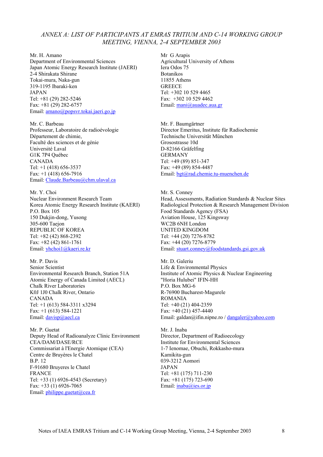#### *ANNEX A: LIST OF PARTICIPANTS AT EMRAS TRITIUM AND C-14 WORKING GROUP MEETING, VIENNA, 2-4 SEPTEMBER 2003*

Mr. H. Amano Department of Environmental Sciences Japan Atomic Energy Research Institute (JAERI) 2-4 Shirakata Shirane Tokai-mura, Naka-gun 319-1195 Ibaraki-ken JAPAN Tel: +81 (29) 282-5246 Fax: +81 (29) 282-6757 Email: amano@popsvr.tokai.jaeri.go.jp

Mr. C. Barbeau Professeur, Laboratoire de radioévologie Département de chimie, Faculté des sciences et de génie Université Laval G1K 7P4 Québec CANADA Tel: +1 (418) 656-3537 Fax: +1 (418) 656-7916 Email: Claude.Barbeau@chm.ulaval.ca

Mr. Y. Choi Nuclear Environment Research Team Korea Atomic Energy Research Institute (KAERI) P.O. Box 105 150 Dukjin-dong, Yusong 305-600 Taejon REPUBLIC OF KOREA Tel: +82 (42) 868-2392 Fax: +82 (42) 861-1761 Email: yhchoi1@kaeri.re.kr

Mr. P. Davis Senior Scientist Environmental Research Branch, Station 51A Atomic Energy of Canada Limited (AECL) Chalk River Laboratories K0J 1J0 Chalk River, Ontario CANADA Tel: +1 (613) 584-3311 x3294 Fax: +1 (613) 584-1221 Email: davisp@aecl.ca

Mr. P. Guetat Deputy Head of Radioanalyze Clinic Environment CEA/DAM/DASE/RCE Commissariat à l'Energie Atomique (CEA) Centre de Bruyères le Chatel B.P. 12 F-91680 Bruyeres le Chatel FRANCE Tel: +33 (1) 6926-4543 (Secretary) Fax: +33 (1) 6926-7065 Email: philippe.guetat@cea.fr

Mr G Arapis Agricultural University of Athens Iera Odos 75 Botanikos 11855 Athens **GREECE** Tel: +302 10 529 4465  $Fax + 302105294462$ Email: mani@auadec.aua.gr

Mr. F. Baumgärtner Director Emeritus, Institute für Radiochemie Technische Universität München Grosostrasse 10d D-82166 Gräfelfing GERMANY Tel: +49 (89) 851-347 Fax: +49 (89) 854-4487 Email: bgt@rad.chemie.tu-muenchen.de

Mr. S. Conney Head, Assessments, Radiation Standards & Nuclear Sites Radiological Protection & Research Management Division Food Standards Agency (FSA) Aviation House, 125 Kingsway WC2B 6NH London UNITED KINGDOM Tel: +44 (20) 7276-8782 Fax: +44 (20) 7276-8779 Email: stuart.conney@foodstandards.gsi.gov.uk

Mr. D. Galeriu Life & Environmental Physics Institute of Atomic Physics & Nuclear Engineering "Horia Hulubei" IFIN-HH P.O. Box MG-6 R-76900 Bucharest-Magurele ROMANIA Tel: +40 (21) 404-2359 Fax: +40 (21) 457-4440 Email: galdan@ifin.nipne.ro / dangaler@yahoo.com

Mr. J. Inaba Director, Department of Radioecology Institute for Environmental Sciences 1-7 Ienomae, Obuchi, Rokkasho-mura Kamikita-gun 039-3212 Aomori JAPAN Tel: +81 (175) 711-230 Fax: +81 (175) 723-690 Email: inaba@ies.or.jp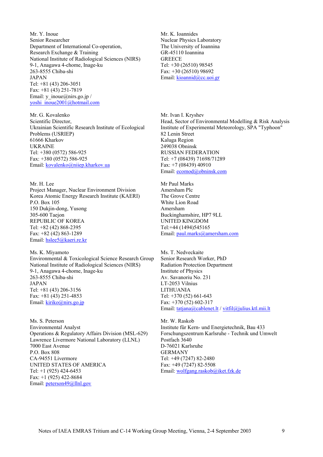Mr. Y. Inoue Senior Researcher Department of International Co-operation, Research Exchange & Training National Institute of Radiological Sciences (NIRS) 9-1, Anagawa 4-chome, Inage-ku 263-8555 Chiba-shi JAPAN Tel: +81 (43) 206-3051 Fax: +81 (43) 251-7819 Email: y\_inoue@nirs.go.jp / yoshi\_inoue2001@hotmail.com

Mr. G. Kovalenko Scientific Director, Ukrainian Scientific Research Institute of Ecological Problems (USRIEP) 61666 Kharkov UKRAINE Tel: +380 (0572) 586-925 Fax: +380 (0572) 586-925 Email: kovalenko@niiep.kharkov.ua

Mr. H. Lee Project Manager, Nuclear Environment Division Korea Atomic Energy Research Institute (KAERI) P.O. Box 105 150 Dukjin-dong, Yusong 305-600 Taejon REPUBLIC OF KOREA Tel: +82 (42) 868-2395 Fax: +82 (42) 863-1289 Email: hslee5@kaeri.re.kr

Ms. K. Miyamoto Environmental & Toxicological Science Research Group National Institute of Radiological Sciences (NIRS) 9-1, Anagawa 4-chome, Inage-ku 263-8555 Chiba-shi JAPAN Tel: +81 (43) 206-3156 Fax: +81 (43) 251-4853 Email: kiriko@nirs.go.jp

Ms. S. Peterson Environmental Analyst Operations & Regulatory Affairs Division (MSL-629) Lawrence Livermore National Laboratory (LLNL) 7000 East Avenue P.O. Box 808 CA-94551 Livermore UNITED STATES OF AMERICA Tel: +1 (925) 424-6453 Fax: +1 (925) 422-8684 Email: peterson49@llnl.gov

Mr. K. Ioannides Nuclear Physics Laboratory The University of Ioannina GR-45110 Ioannina **GREECE** Tel: +30 (26510) 98545 Fax: +30 (26510) 98692 Email: kioannid@cc.uoi.gr

Mr. Ivan I. Kryshev Head, Sector of Environmental Modelling & Risk Analysis Institute of Experimental Meteorology, SPA "Typhoon" 82 Lenin Street Kaluga Region 249038 Obninsk RUSSIAN FEDERATION Tel: +7 (08439) 71698/71289 Fax: +7 (08439) 40910 Email: ecomod@obninsk.com

Mr Paul Marks Amersham Plc The Grove Centre White Lion Road Amersham Buckinghamshire, HP7 9LL UNITED KINGDOM Tel:+44 (1494)545165 Email: paul.marks@amersham.com

Ms. T. Nedveckaite Senior Research Worker, PhD Radiation Protection Department Institute of Physics Av. Savanoriu No. 231 LT-2053 Vilnius LITHUANIA Tel: +370 (52) 661-643 Fax: +370 (52) 602-317 Email: tatjana@cablenet.lt / vitfil@julius.ktl.mii.lt

Mr. W. Raskob Institute für Kern- und Energietechnik, Bau 433 Forschungszentrum Karlsruhe - Technik und Umwelt Postfach 3640 D-76021 Karlsruhe GERMANY Tel: +49 (7247) 82-2480 Fax: +49 (7247) 82-5508 Email: wolfgang.raskob@iket.fzk.de